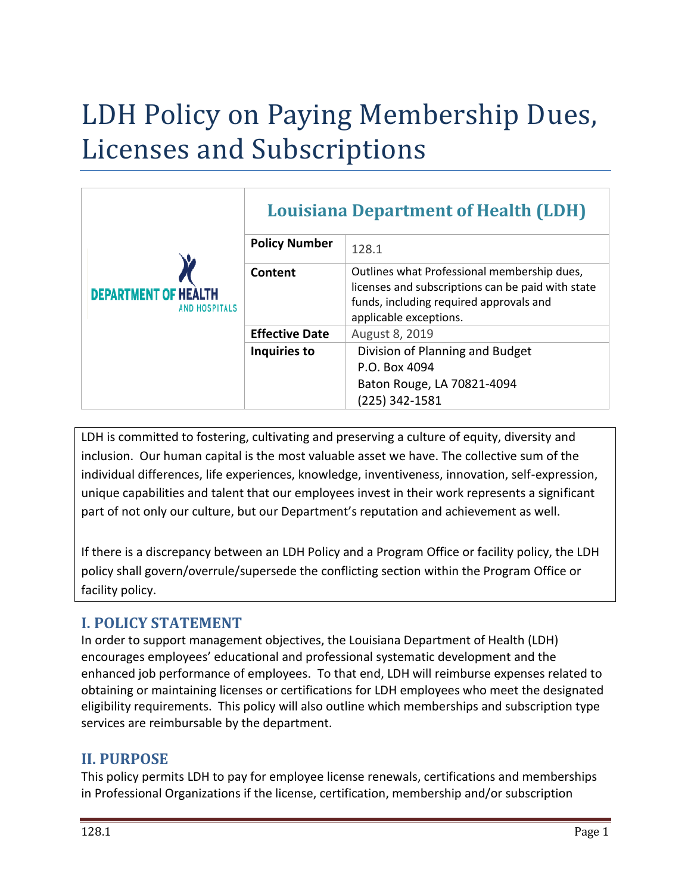# LDH Policy on Paying Membership Dues, Licenses and Subscriptions

| <b>DEPARTMENT OF HEA</b><br><b>AND HOSPITALS</b> | <b>Louisiana Department of Health (LDH)</b> |                                                                                                                                                                       |
|--------------------------------------------------|---------------------------------------------|-----------------------------------------------------------------------------------------------------------------------------------------------------------------------|
|                                                  | <b>Policy Number</b>                        | 128.1                                                                                                                                                                 |
|                                                  | Content                                     | Outlines what Professional membership dues,<br>licenses and subscriptions can be paid with state<br>funds, including required approvals and<br>applicable exceptions. |
|                                                  | <b>Effective Date</b>                       | August 8, 2019                                                                                                                                                        |
|                                                  | Inquiries to                                | Division of Planning and Budget<br>P.O. Box 4094<br>Baton Rouge, LA 70821-4094<br>$(225)$ 342-1581                                                                    |

LDH is committed to fostering, cultivating and preserving a culture of equity, diversity and inclusion. Our human capital is the most valuable asset we have. The collective sum of the individual differences, life experiences, knowledge, inventiveness, innovation, self-expression, unique capabilities and talent that our employees invest in their work represents a significant part of not only our culture, but our Department's reputation and achievement as well.

If there is a discrepancy between an LDH Policy and a Program Office or facility policy, the LDH policy shall govern/overrule/supersede the conflicting section within the Program Office or facility policy.

# **I. POLICY STATEMENT**

In order to support management objectives, the Louisiana Department of Health (LDH) encourages employees' educational and professional systematic development and the enhanced job performance of employees. To that end, LDH will reimburse expenses related to obtaining or maintaining licenses or certifications for LDH employees who meet the designated eligibility requirements. This policy will also outline which memberships and subscription type services are reimbursable by the department.

# **II. PURPOSE**

This policy permits LDH to pay for employee license renewals, certifications and memberships in Professional Organizations if the license, certification, membership and/or subscription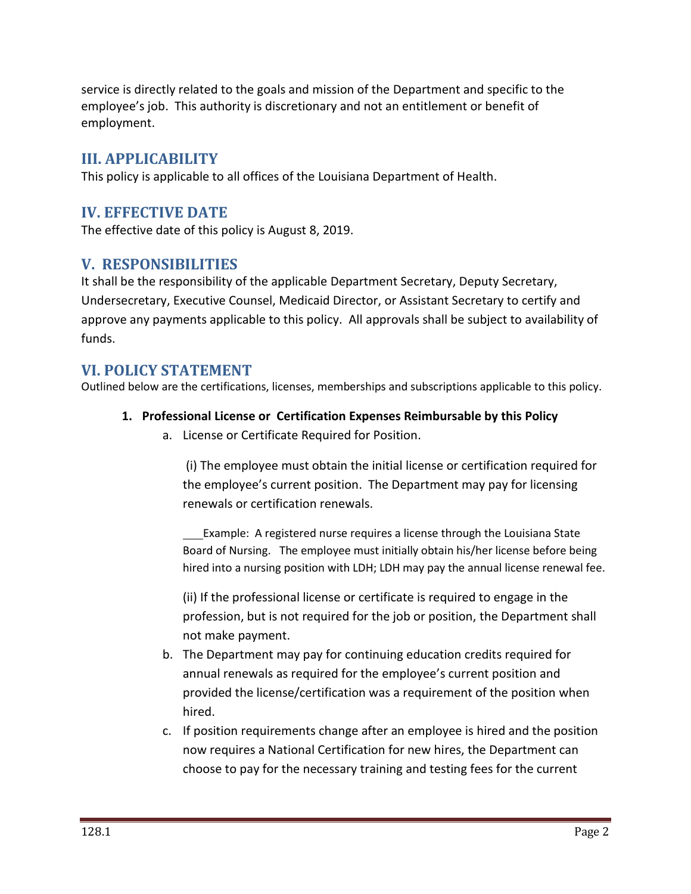service is directly related to the goals and mission of the Department and specific to the employee's job. This authority is discretionary and not an entitlement or benefit of employment.

# **III. APPLICABILITY**

This policy is applicable to all offices of the Louisiana Department of Health.

# **IV. EFFECTIVE DATE**

The effective date of this policy is August 8, 2019.

## **V. RESPONSIBILITIES**

It shall be the responsibility of the applicable Department Secretary, Deputy Secretary, Undersecretary, Executive Counsel, Medicaid Director, or Assistant Secretary to certify and approve any payments applicable to this policy. All approvals shall be subject to availability of funds.

## **VI. POLICY STATEMENT**

Outlined below are the certifications, licenses, memberships and subscriptions applicable to this policy.

#### **1. Professional License or Certification Expenses Reimbursable by this Policy**

a. License or Certificate Required for Position.

(i) The employee must obtain the initial license or certification required for the employee's current position. The Department may pay for licensing renewals or certification renewals.

Example: A registered nurse requires a license through the Louisiana State Board of Nursing. The employee must initially obtain his/her license before being hired into a nursing position with LDH; LDH may pay the annual license renewal fee.

(ii) If the professional license or certificate is required to engage in the profession, but is not required for the job or position, the Department shall not make payment.

- b. The Department may pay for continuing education credits required for annual renewals as required for the employee's current position and provided the license/certification was a requirement of the position when hired.
- c. If position requirements change after an employee is hired and the position now requires a National Certification for new hires, the Department can choose to pay for the necessary training and testing fees for the current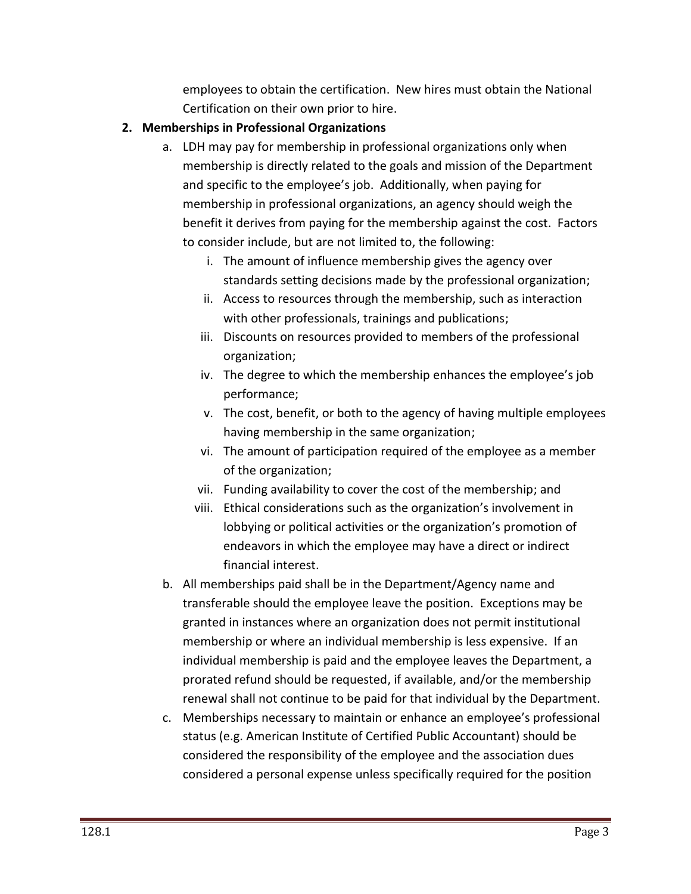employees to obtain the certification. New hires must obtain the National Certification on their own prior to hire.

## **2. Memberships in Professional Organizations**

- a. LDH may pay for membership in professional organizations only when membership is directly related to the goals and mission of the Department and specific to the employee's job. Additionally, when paying for membership in professional organizations, an agency should weigh the benefit it derives from paying for the membership against the cost. Factors to consider include, but are not limited to, the following:
	- i. The amount of influence membership gives the agency over standards setting decisions made by the professional organization;
	- ii. Access to resources through the membership, such as interaction with other professionals, trainings and publications;
	- iii. Discounts on resources provided to members of the professional organization;
	- iv. The degree to which the membership enhances the employee's job performance;
	- v. The cost, benefit, or both to the agency of having multiple employees having membership in the same organization;
	- vi. The amount of participation required of the employee as a member of the organization;
	- vii. Funding availability to cover the cost of the membership; and
	- viii. Ethical considerations such as the organization's involvement in lobbying or political activities or the organization's promotion of endeavors in which the employee may have a direct or indirect financial interest.
- b. All memberships paid shall be in the Department/Agency name and transferable should the employee leave the position. Exceptions may be granted in instances where an organization does not permit institutional membership or where an individual membership is less expensive. If an individual membership is paid and the employee leaves the Department, a prorated refund should be requested, if available, and/or the membership renewal shall not continue to be paid for that individual by the Department.
- c. Memberships necessary to maintain or enhance an employee's professional status (e.g. American Institute of Certified Public Accountant) should be considered the responsibility of the employee and the association dues considered a personal expense unless specifically required for the position